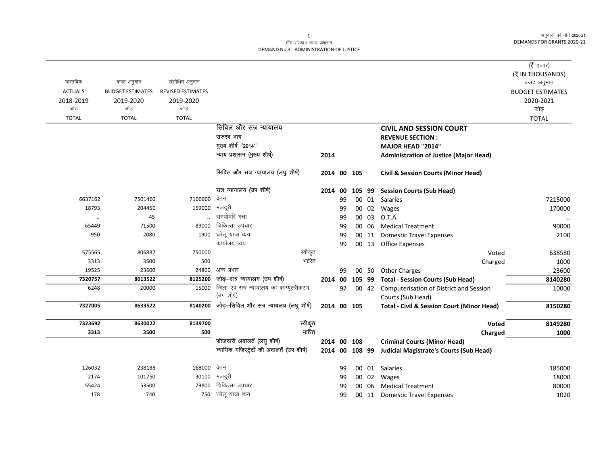अनुदानों की माँगें 2020.21 DEMANDS FOR GRANTS 2020-21

## माँग संख्या.3 न्याय प्रशासन DEMAND No.3 - ADMINISTRATION OF JUSTICE

|                      |                         |                          |                                                  |             |    |        |       |                                                        | ( $\bar{\tau}$ हजार)    |
|----------------------|-------------------------|--------------------------|--------------------------------------------------|-------------|----|--------|-------|--------------------------------------------------------|-------------------------|
|                      |                         |                          |                                                  |             |    |        |       |                                                        | (₹ IN THOUSANDS)        |
| वास्तविक             | बजट अनुमान              | संशोधित अनुमान           |                                                  |             |    |        |       |                                                        | बजट अनुमान              |
| <b>ACTUALS</b>       | <b>BUDGET ESTIMATES</b> | <b>REVISED ESTIMATES</b> |                                                  |             |    |        |       |                                                        | <b>BUDGET ESTIMATES</b> |
| 2018-2019            | 2019-2020               | 2019-2020                |                                                  |             |    |        |       |                                                        | 2020-2021               |
| जोड                  | जोड                     | जोड                      |                                                  |             |    |        |       |                                                        | जोड़                    |
| <b>TOTAL</b>         | <b>TOTAL</b>            | <b>TOTAL</b>             |                                                  |             |    |        |       |                                                        | <b>TOTAL</b>            |
|                      |                         |                          | सिविल और सत्र न्यायालय                           |             |    |        |       | <b>CIVIL AND SESSION COURT</b>                         |                         |
|                      |                         |                          | राजस्व भाग :                                     |             |    |        |       | <b>REVENUE SECTION:</b>                                |                         |
|                      |                         |                          | मुख्य शीर्ष "2014"                               |             |    |        |       | <b>MAJOR HEAD "2014"</b>                               |                         |
|                      |                         |                          | न्याय प्रशासन (मुख्य शीर्ष)                      | 2014        |    |        |       | <b>Administration of Justice (Major Head)</b>          |                         |
|                      |                         |                          | सिविल और सत्र न्यायालय (लघु शीर्ष)               | 2014 00     |    | 105    |       | <b>Civil &amp; Session Courts (Minor Head)</b>         |                         |
|                      |                         |                          | सत्र न्यायालय (उप शीर्ष)                         | 2014 00     |    | 105 99 |       | <b>Session Courts (Sub Head)</b>                       |                         |
| 6637162              | 7501460                 | 7100000                  | वेतन                                             |             | 99 |        | 00 01 | <b>Salaries</b>                                        | 7215000                 |
| 18793                | 204450                  | 159000                   | मजदूरी                                           |             | 99 |        | 00 02 | Wages                                                  | 170000                  |
| $\ddot{\phantom{a}}$ | 45                      |                          | समयोपरि भत्ता                                    |             | 99 |        | 00 03 | O.T.A.                                                 |                         |
| 65449                | 71500                   | 89000                    | चिकित्सा उपचार                                   |             | 99 |        | 00 06 | <b>Medical Treatment</b>                               | 90000                   |
| 950                  | 2080                    | 1900                     | घरेलू यात्रा व्यय                                |             | 99 |        | 00 11 | <b>Domestic Travel Expenses</b>                        | 2100                    |
|                      |                         |                          | कार्यालय व्यय                                    |             | 99 |        |       | 00 13 Office Expenses                                  |                         |
| 575565               | 806887                  | 750000                   | स्वीकृत                                          |             |    |        |       | Voted                                                  | 638580                  |
| 3313                 | 3500                    | 500                      | भारित                                            |             |    |        |       | Charged                                                | 1000                    |
| 19525                | 23600                   | 24800                    | अन्य प्रभार                                      |             | 99 |        | 00 50 | <b>Other Charges</b>                                   | 23600                   |
| 7320757              | 8613522                 | 8125200                  | जोड़–सत्र न्यायालय (उप शीर्ष)                    | 2014        | 00 | 105 99 |       | <b>Total - Session Courts (Sub Head)</b>               | 8140280                 |
| 6248                 | 20000                   | 15000                    | जिला एवं सत्र न्यायालय का कम्प्यूटरीकरण          |             | 97 |        | 00 42 | Computerisation of District and Session                | 10000                   |
|                      |                         |                          | (उप शीर्ष)                                       |             |    |        |       | Courts (Sub Head)                                      |                         |
| 7327005              | 8633522                 |                          | $8140200$ जोड़-सिविल और सत्र न्यायलय (लघु शीर्ष) | 2014 00 105 |    |        |       | <b>Total - Civil &amp; Session Court (Minor Head)</b>  | 8150280                 |
| 7323692              | 8630022                 | 8139700                  | स्वीकृत                                          |             |    |        |       | Voted                                                  | 8149280                 |
| 3313                 | 3500                    | 500                      | भारित                                            |             |    |        |       | Charged                                                | 1000                    |
|                      |                         |                          | फौजदारी अदालतें (लघु शीर्ष)                      | 2014 00 108 |    |        |       | <b>Criminal Courts (Minor Head)</b>                    |                         |
|                      |                         |                          | न्यायिक मजिस्ट्रेटों की अदालतें (उप शीर्ष)       |             |    |        |       | 2014 00 108 99 Judicial Magistrate's Courts (Sub Head) |                         |
| 126032               | 238188                  | 168000                   | वेतन                                             |             | 99 |        |       | 00 01 Salaries                                         | 185000                  |
| 2174                 | 101750                  | 30100                    | मजदूरी                                           |             | 99 |        |       | 00 02 Wages                                            | 18000                   |
| 55424                | 53500                   | 79800                    | चिकित्सा उपचार                                   |             | 99 |        | 00 06 | <b>Medical Treatment</b>                               | 80000                   |
| 178                  | 740                     | 750                      | घरेलू यात्रा व्यय                                |             | 99 |        |       | 00 11 Domestic Travel Expenses                         | 1020                    |

 $\mathbf{1}$